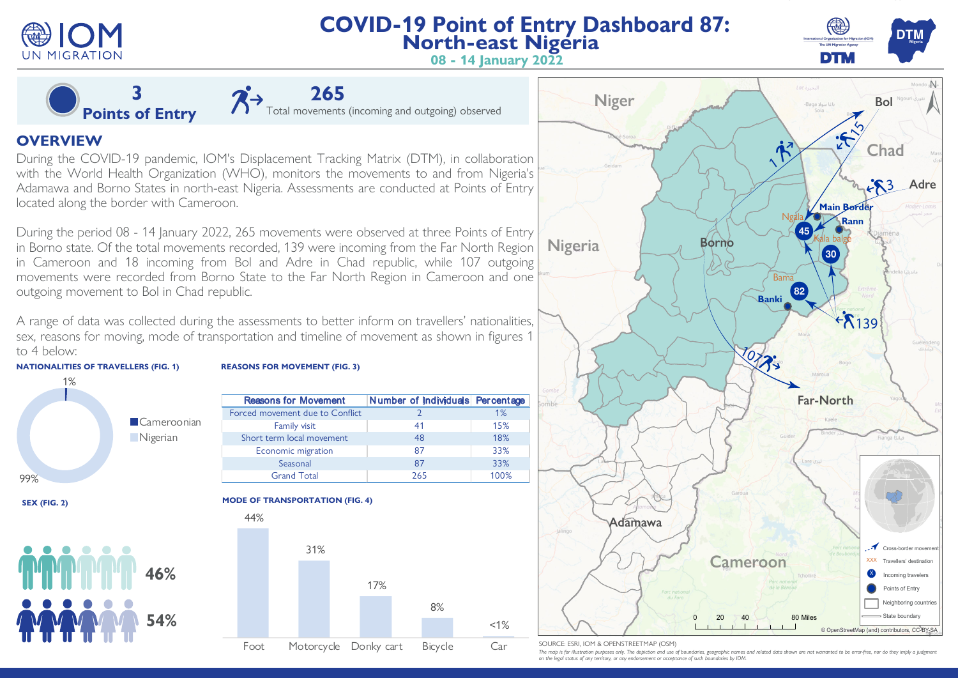

# **COVID-19 Point of Entry Dashboard 87: North-east Nigeria**



**08 - 14 January 2022**

**3 Points of Entry**

Total movements (incoming and outgoing) observed

# **OVERVIEW**

During the COVID-19 pandemic, IOM's Displacement Tracking Matrix (DTM), in collaboration with the World Health Organization (WHO), monitors the movements to and from Nigeria's Adamawa and Borno States in north-east Nigeria. Assessments are conducted at Points of Entry located along the border with Cameroon.

During the period 08 - 14 January 2022, 265 movements were observed at three Points of Entry in Borno state. Of the total movements recorded, 139 were incoming from the Far North Region in Cameroon and 18 incoming from Bol and Adre in Chad republic, while 107 outgoing movements were recorded from Borno State to the Far North Region in Cameroon and one outgoing movement to Bol in Chad republic.

A range of data was collected during the assessments to better inform on travellers' nationalities, sex, reasons for moving, mode of transportation and timeline of movement as shown in figures 1 to 4 below:





## **REASONS FOR MOVEMENT (FIG. 3)**

| <b>Reasons for Movement</b>     | Number of Individuals Percentage |      |
|---------------------------------|----------------------------------|------|
| Forced movement due to Conflict |                                  | 1%   |
| Family visit                    | 41                               | 15%  |
| Short term local movement       | 48                               | 18%  |
| Economic migration              | 87                               | 33%  |
| Seasonal                        | 87                               | 33%  |
| <b>Grand Total</b>              | 265                              | 100% |

#### **MODE OF TRANSPORTATION (FIG. 4)**





#### SOURCE: ESRI, IOM & OPENSTREETMAP (OSM)

The map is for illustration purposes only. The depiction and use of boundaries, geographic names and related data shown are not warranted to be error-free, nor do they imply *on the legal status of any territory, or any endorsement or acceptance of such boundaries by IOM.*